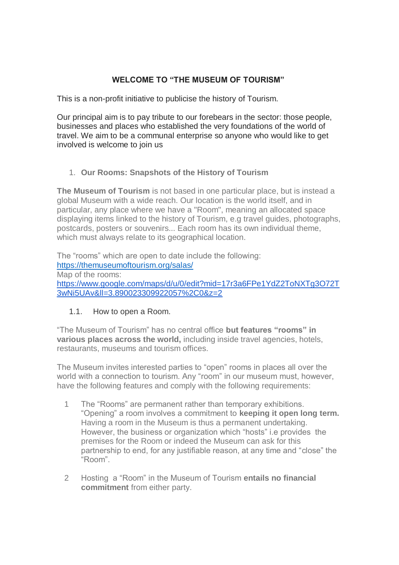# **WELCOME TO "THE MUSEUM OF TOURISM"**

This is a non-profit initiative to publicise the history of Tourism.

Our principal aim is to pay tribute to our forebears in the sector: those people, businesses and places who established the very foundations of the world of travel. We aim to be a communal enterprise so anyone who would like to get involved is welcome to join us.

# 1. **Our Rooms: Snapshots of the History of Tourism**

**The Museum of Tourism** is not based in one particular place, but is instead a global Museum with a wide reach. Our location is the world itself, and in particular, any place where we have a "Room", meaning an allocated space displaying items linked to the history of Tourism, e.g travel guides, photographs, postcards, posters or souvenirs... Each room has its own individual theme, which must always relate to its geographical location.

The "rooms" which are open to date include the following: [https://themuseumoftourism.org/salas/](about:blank) Map of the rooms: [https://www.google.com/maps/d/u/0/edit?mid=17r3a6FPe1YdZ2ToNXTg3O72T](about:blank) [3wNi5UAv&ll=3.890023309922057%2C0&z=2](about:blank)

# 1.1. How to open a Room.

"The Museum of Tourism" has no central office **but features "rooms" in various places across the world,** including inside travel agencies, hotels, restaurants, museums and tourism offices.

The Museum invites interested parties to "open" rooms in places all over the world with a connection to tourism. Any "room" in our museum must, however, have the following features and comply with the following requirements:

- 1 The "Rooms" are permanent rather than temporary exhibitions. "Opening" a room involves a commitment to **keeping it open long term.**  Having a room in the Museum is thus a permanent undertaking. However, the business or organization which "hosts" i.e provides the premises for the Room or indeed the Museum can ask for this partnership to end, for any justifiable reason, at any time and "close" the "Room".
- 2 Hosting a "Room" in the Museum of Tourism **entails no financial commitment** from either party.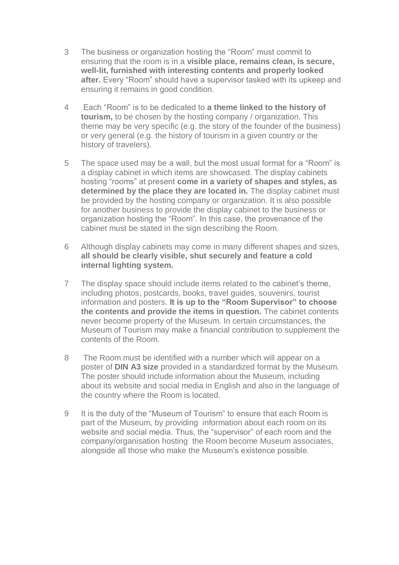- 3 The business or organization hosting the "Room" must commit to ensuring that the room is in a **visible place, remains clean, is secure, well-lit, furnished with interesting contents and properly looked after.** Every "Room" should have a supervisor tasked with its upkeep and ensuring it remains in good condition.
- 4 Each "Room" is to be dedicated to **a theme linked to the history of tourism,** to be chosen by the hosting company / organization. This theme may be very specific (e.g. the story of the founder of the business) or very general (e.g. the history of tourism in a given country or the history of travelers).
- 5 The space used may be a wall, but the most usual format for a "Room" is a display cabinet in which items are showcased. The display cabinets hosting "rooms" at present **come in a variety of shapes and styles, as**  determined by the place they are located in. The display cabinet must be provided by the hosting company or organization. It is also possible for another business to provide the display cabinet to the business or organization hosting the "Room". In this case, the provenance of the cabinet must be stated in the sign describing the Room.
- 6 Although display cabinets may come in many different shapes and sizes, **all should be clearly visible, shut securely and feature a cold internal lighting system.**
- 7 The display space should include items related to the cabinet's theme, including photos, postcards, books, travel guides, souvenirs, tourist information and posters. **It is up to the "Room Supervisor" to choose the contents and provide the items in question.** The cabinet contents never become property of the Museum. In certain circumstances, the Museum of Tourism may make a financial contribution to supplement the contents of the Room.
- 8 The Room must be identified with a number which will appear on a poster of **DIN A3 size** provided in a standardized format by the Museum. The poster should include information about the Museum, including about its website and social media in English and also in the language of the country where the Room is located.
- 9 It is the duty of the "Museum of Tourism" to ensure that each Room is part of the Museum, by providing information about each room on its website and social media. Thus, the "supervisor" of each room and the company/organisation hosting the Room become Museum associates, alongside all those who make the Museum's existence possible.